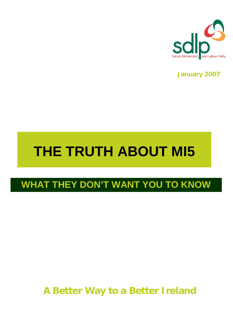

**January 2007**

# **THE TRUTH ABOUT MI5**

# **WHAT THEY DON'T WANT YOU TO KNOW**

# **A Better Way to a Better Ireland**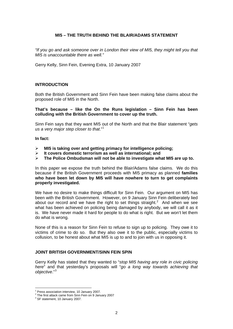# **MI5 – THE TRUTH BEHIND THE BLAIR/ADAMS STATEMENT**

*"If you go and ask someone over in London their view of MI5, they might tell you that MI5 is unaccountable there as well."*

Gerry Kelly, Sinn Fein, Evening Extra, 10 January 2007

# **INTRODUCTION**

Both the British Government and Sinn Fein have been making false claims about the proposed role of MI5 in the North.

### **That's because – like the On the Runs legislation – Sinn Fein has been colluding with the British Government to cover up the truth.**

Sinn Fein says that they want MI5 out of the North and that the Blair statement "*gets us a very major step closer to that*."[1](#page-1-0)

### **In fact:**

- ¾ **MI5 is taking over and getting primacy for intelligence policing;**
- ¾ **It covers domestic terrorism as well as international; and**
- ¾ **The Police Ombudsman will not be able to investigate what MI5 are up to.**

In this paper we expose the truth behind the Blair/Adams false claims. We do this because if the British Government proceeds with MI5 primacy as planned **families who have been let down by MI5 will have nowhere to turn to get complaints properly investigated.** 

We have no desire to make things difficult for Sinn Fein. Our argument on MI5 has been with the British Government. However, on 9 January Sinn Fein deliberately lied about our record and we have the right to set things straight.<sup>[2](#page-1-1)</sup> And when we see what has been achieved on policing being damaged by anybody, we will call it as it is. We have never made it hard for people to do what is right. But we won't let them do what is wrong.

None of this is a reason for Sinn Fein to refuse to sign up to policing. They owe it to victims of crime to do so. But they also owe it to the public, especially victims to collusion, to be honest about what MI5 is up to and to join with us in opposing it.

#### **JOINT BRITISH GOVERNMENT/SINN FEIN SPIN**

Gerry Kelly has stated that they wanted to "*stop MI5 having any role in civic policing here*" and that yesterday's proposals will "*go a long way towards achieving that objective*."[3](#page-1-2)

 $\overline{a}$ 

<sup>&</sup>lt;sup>1</sup> Press association interview, 10 January 2007.

<span id="page-1-1"></span><span id="page-1-0"></span><sup>&</sup>lt;sup>2</sup> The first attack came from Sinn Fein on 9 January 2007

<span id="page-1-2"></span><sup>&</sup>lt;sup>3</sup> SF statement, 10 January 2007.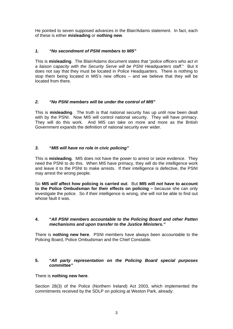He pointed to seven supposed advances in the Blair/Adams statement. In fact, each of these is either **misleading** or **nothing new**.

# *1. "No secondment of PSNI members to MI5"*

This is **misleading**. The Blair/Adams document states that "*police officers who act in a liaison capacity with the Security Serve will be PSNI Headquarters staff*." But it does not say that they must be located in Police Headquarters. There is nothing to stop them being located in MI5's new offices – and we believe that they will be located from there.

# *2. "No PSNI members will be under the control of MI5"*

This is **misleading**. The truth is that national security has up until now been dealt with by the PSNI. Now MI5 will control national security. They will have primacy. They will do this work. And MI5 can take on more and more as the British Government expands the definition of national security ever wider.

# *3.* **"***MI5 will have no role in civic policing"*

This is **misleading**. MI5 does not have the power to arrest or seize evidence. They need the PSNI to do this. When MI5 have primacy, they will do the intelligence work and leave it to the PSNI to make arrests. If their intelligence is defective, the PSNI may arrest the wrong people.

So **MI5** *will* **affect how policing is carried out**. But **MI5 will** *not* **have to account to the Police Ombudsman for their effects on policing –** because she can only investigate the police. So if their intelligence is wrong, she will not be able to find out whose fault it was.

# **4. "***All PSNI members accountable to the Policing Board and other Patten mechanisms and upon transfer to the Justice Ministers."*

There is **nothing new here**. PSNI members have always been accountable to the Policing Board, Police Ombudsman and the Chief Constable.

# **5. "***All party representation on the Policing Board special purposes committee"*

# There is **nothing new here**.

Section 28(3) of the Police (Northern Ireland) Act 2003, which implemented the commitments received by the SDLP on policing at Weston Park, already: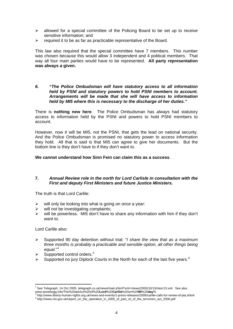- $\triangleright$  allowed for a special committee of the Policing Board to be set up to receive sensitive information; and
- $\triangleright$  required it to be as far as practicable representative of the Board.

This law also required that the special committee have 7 members. This number was chosen because this would allow 3 independent and 4 political members. That way all four main parties would have to be represented. **All party representation was always a given.** 

*6.* **"***The Police Ombudsman will have statutory access to all information held by PSNI and statutory powers to hold PSNI members to account. Arrangements will be made that she will have access to information held by MI5 where this is necessary to the discharge of her duties."* 

There is **nothing new here**. The Police Ombudsman has *always* had statutory access to information held by the PSNI and powers to hold PSNI members to account.

However, now it will be MI5, not the PSNI, that gets the lead on national security. And the Police Ombudsman is promised no statutory power to access information they hold. All that is said is that MI5 can agree to give her documents. But the bottom line is they don't have to if they don't want to.

**We cannot understand how Sinn Fein can claim this as a success**.

# **7.** *Annual Review role in the north for Lord Carlisle in consultation with the First and deputy First Ministers and future Justice Ministers.*

The truth is that Lord Carlile:

- $\triangleright$  will only be looking into what is going on once a year:
- $\triangleright$  will not be investigating complaints;
- $\triangleright$  will be powerless. MI5 don't have to share any information with him if they don't want to.

Lord Carlile also:

 $\overline{a}$ 

- ¾ Supported 90 day detention without trial: "*I share the view that as a maximum three months is probably a practicable and sensible option, all other things being equal*."[4](#page-3-0)
- Supported control orders.<sup>[5](#page-3-1)</sup>
- $\triangleright$  Supported no jury Diplock Courts in the North for each of the last five years.<sup>[6](#page-3-2)</sup>

<span id="page-3-0"></span><sup>4</sup> See Telegraph, 14 Oct 2005, telegraph.co.uk/news/main.jhtml?xml=/news/2005/10/13/nterr13.xml. See also www.annebegg.info/The%20advice%20of%20**Lord**%20**Carlile**%20on%20**90**%20**day**% 5

<span id="page-3-2"></span><span id="page-3-1"></span>http://www.liberty-human-rights.org.uk/news-and-events/1-press-releases/2006/carlile-calls-for-renew-of-pta.shtml 6<br>6 http://www.nie.gov.uk/senert.on.the.cogratics.in.2005.of.pert.wii.ef.the.terreriem.est.2000.ndf http://www.nio.gov.uk/report\_on\_the\_operation\_in\_2005\_of\_part\_vii\_of\_the\_terrorism\_act\_2000.pdf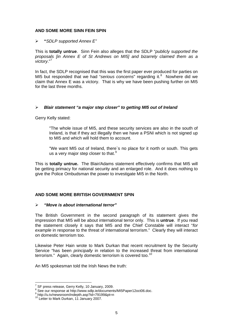# **AND SOME MORE SINN FEIN SPIN**

¾ **"***SDLP supported Annex E"* 

This is **totally untrue**. Sinn Fein also alleges that the SDLP "*publicly supported the proposals [in Annex E of St Andrews on MI5] and bizarrely claimed them as a victory*."[7](#page-4-0)

In fact, the SDLP recognised that this was the first paper ever produced for parties on MI5 but responded that we had "serious concerns" regarding it.<sup>[8](#page-4-1)</sup> Nowhere did we claim that Annex E was a victory. That is why we have been pushing further on MI5 for the last three months.

# ¾ *Blair statement "a major step closer" to getting MI5 out of Ireland*

Gerry Kelly stated:

"The whole issue of MI5, and these security services are also in the south of Ireland, is that if they act illegally then we have a PSNI which is not signed up to MI5 and which will hold them to account.

"We want MI5 out of Ireland, there`s no place for it north or south. This gets us a very major step closer to that.<sup>[9](#page-4-2)</sup>

This is **totally untrue.** The Blair/Adams statement effectively confirms that MI5 will be getting primacy for national security and an enlarged role. And it does nothing to give the Police Ombudsman the power to investigate MI5 in the North.

# **AND SOME MORE BRITISH GOVERNMENT SPIN**

#### ¾ *"Move is about international terror"*

The British Government in the second paragraph of its statement gives the impression that MI5 will be about international terror only. This is **untrue**. If you read the statement closely it says that MI5 and the Chief Constable will interact "*for*  example in response to the threat of international terrorism." Clearly they will interact on domestic terrorism too.

Likewise Peter Hain wrote to Mark Durkan that recent recruitment by the Security Service "has been *principally* in relation to the increased threat from international terrorism." Again, clearly domestic terrorism is covered too.<sup>[10](#page-4-3)</sup>

An MI5 spokesman told the Irish News the truth:

 7 SF press release, Gerry Kelly, 10 January, 2009.

<span id="page-4-1"></span><span id="page-4-0"></span> $\frac{8}{3}$  See our response at http://www.sdlp.ie/documents/MI5Paper12oct06.doc.

<span id="page-4-2"></span> $^9$  http://u.tv/newsroom/indepth.asp?id=79199&pt=n  $^{10}$  Letter to Mark Durkan, 11 January 2007.

<span id="page-4-3"></span>